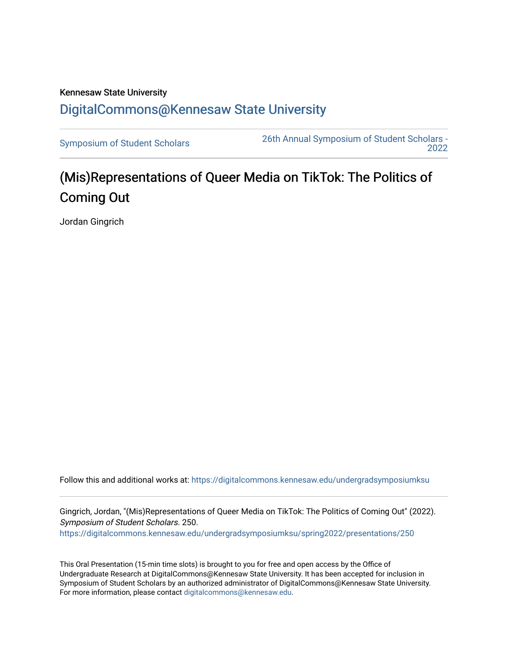## Kennesaw State University [DigitalCommons@Kennesaw State University](https://digitalcommons.kennesaw.edu/)

[Symposium of Student Scholars](https://digitalcommons.kennesaw.edu/undergradsymposiumksu) [26th Annual Symposium of Student Scholars -](https://digitalcommons.kennesaw.edu/undergradsymposiumksu/spring2022)  [2022](https://digitalcommons.kennesaw.edu/undergradsymposiumksu/spring2022) 

## (Mis)Representations of Queer Media on TikTok: The Politics of Coming Out

Jordan Gingrich

Follow this and additional works at: [https://digitalcommons.kennesaw.edu/undergradsymposiumksu](https://digitalcommons.kennesaw.edu/undergradsymposiumksu?utm_source=digitalcommons.kennesaw.edu%2Fundergradsymposiumksu%2Fspring2022%2Fpresentations%2F250&utm_medium=PDF&utm_campaign=PDFCoverPages) 

Gingrich, Jordan, "(Mis)Representations of Queer Media on TikTok: The Politics of Coming Out" (2022). Symposium of Student Scholars. 250. [https://digitalcommons.kennesaw.edu/undergradsymposiumksu/spring2022/presentations/250](https://digitalcommons.kennesaw.edu/undergradsymposiumksu/spring2022/presentations/250?utm_source=digitalcommons.kennesaw.edu%2Fundergradsymposiumksu%2Fspring2022%2Fpresentations%2F250&utm_medium=PDF&utm_campaign=PDFCoverPages)

This Oral Presentation (15-min time slots) is brought to you for free and open access by the Office of Undergraduate Research at DigitalCommons@Kennesaw State University. It has been accepted for inclusion in Symposium of Student Scholars by an authorized administrator of DigitalCommons@Kennesaw State University. For more information, please contact [digitalcommons@kennesaw.edu.](mailto:digitalcommons@kennesaw.edu)